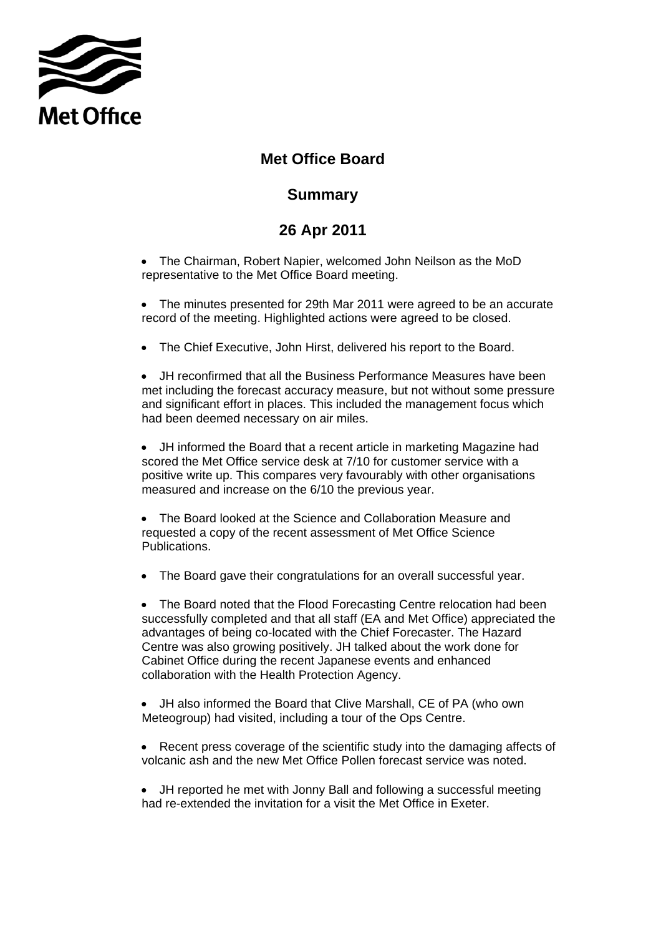

## **Met Office Board**

## **Summary**

## **Summary 26 Apr 2011**

- The Chairman, Robert Napier, welcomed John Neilson as the MoD representative to the Met Office Board meeting.
- The minutes presented for 29th Mar 2011 were agreed to be an accurate record of the meeting. Highlighted actions were agreed to be closed.
- The Chief Executive, John Hirst, delivered his report to the Board.

• JH reconfirmed that all the Business Performance Measures have been met including the forecast accuracy measure, but not without some pressure and significant effort in places. This included the management focus which had been deemed necessary on air miles.

• JH informed the Board that a recent article in marketing Magazine had scored the Met Office service desk at 7/10 for customer service with a positive write up. This compares very favourably with other organisations measured and increase on the 6/10 the previous year.

• The Board looked at the Science and Collaboration Measure and requested a copy of the recent assessment of Met Office Science Publications.

• The Board gave their congratulations for an overall successful year.

• The Board noted that the Flood Forecasting Centre relocation had been successfully completed and that all staff (EA and Met Office) appreciated the advantages of being co-located with the Chief Forecaster. The Hazard Centre was also growing positively. JH talked about the work done for Cabinet Office during the recent Japanese events and enhanced collaboration with the Health Protection Agency.

• JH also informed the Board that Clive Marshall, CE of PA (who own Meteogroup) had visited, including a tour of the Ops Centre.

- Recent press coverage of the scientific study into the damaging affects of volcanic ash and the new Met Office Pollen forecast service was noted.
- JH reported he met with Jonny Ball and following a successful meeting had re-extended the invitation for a visit the Met Office in Exeter.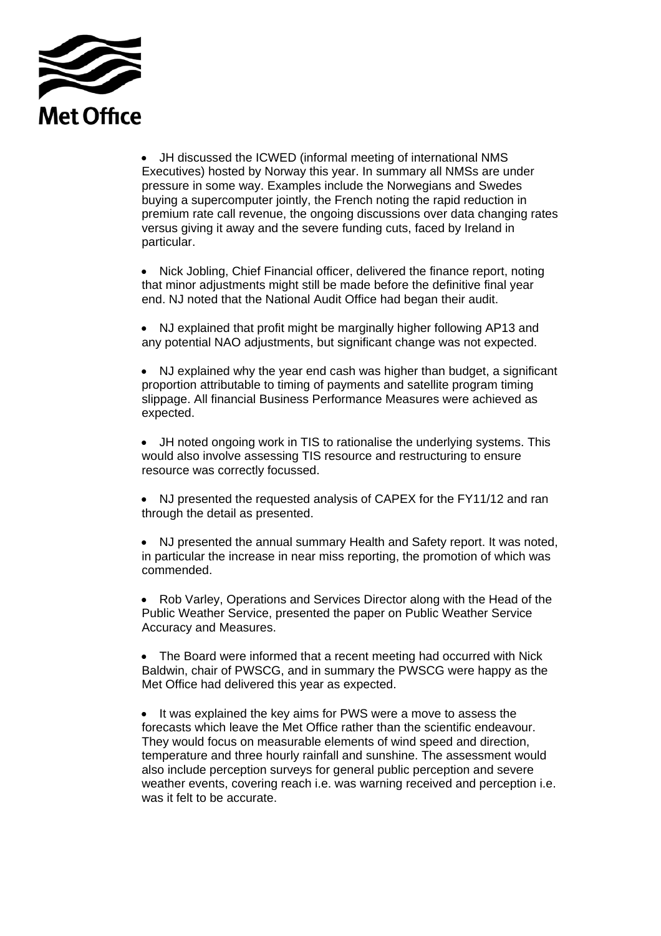

• JH discussed the ICWED (informal meeting of international NMS Executives) hosted by Norway this year. In summary all NMSs are under pressure in some way. Examples include the Norwegians and Swedes buying a supercomputer jointly, the French noting the rapid reduction in premium rate call revenue, the ongoing discussions over data changing rates versus giving it away and the severe funding cuts, faced by Ireland in particular.

• Nick Jobling, Chief Financial officer, delivered the finance report, noting that minor adjustments might still be made before the definitive final year end. NJ noted that the National Audit Office had began their audit.

• NJ explained that profit might be marginally higher following AP13 and any potential NAO adjustments, but significant change was not expected.

• NJ explained why the year end cash was higher than budget, a significant proportion attributable to timing of payments and satellite program timing slippage. All financial Business Performance Measures were achieved as expected.

• JH noted ongoing work in TIS to rationalise the underlying systems. This would also involve assessing TIS resource and restructuring to ensure resource was correctly focussed.

• NJ presented the requested analysis of CAPEX for the FY11/12 and ran through the detail as presented.

• NJ presented the annual summary Health and Safety report. It was noted, in particular the increase in near miss reporting, the promotion of which was commended.

• Rob Varley, Operations and Services Director along with the Head of the Public Weather Service, presented the paper on Public Weather Service Accuracy and Measures.

• The Board were informed that a recent meeting had occurred with Nick Baldwin, chair of PWSCG, and in summary the PWSCG were happy as the Met Office had delivered this year as expected.

• It was explained the key aims for PWS were a move to assess the forecasts which leave the Met Office rather than the scientific endeavour. They would focus on measurable elements of wind speed and direction, temperature and three hourly rainfall and sunshine. The assessment would also include perception surveys for general public perception and severe weather events, covering reach i.e. was warning received and perception i.e. was it felt to be accurate.